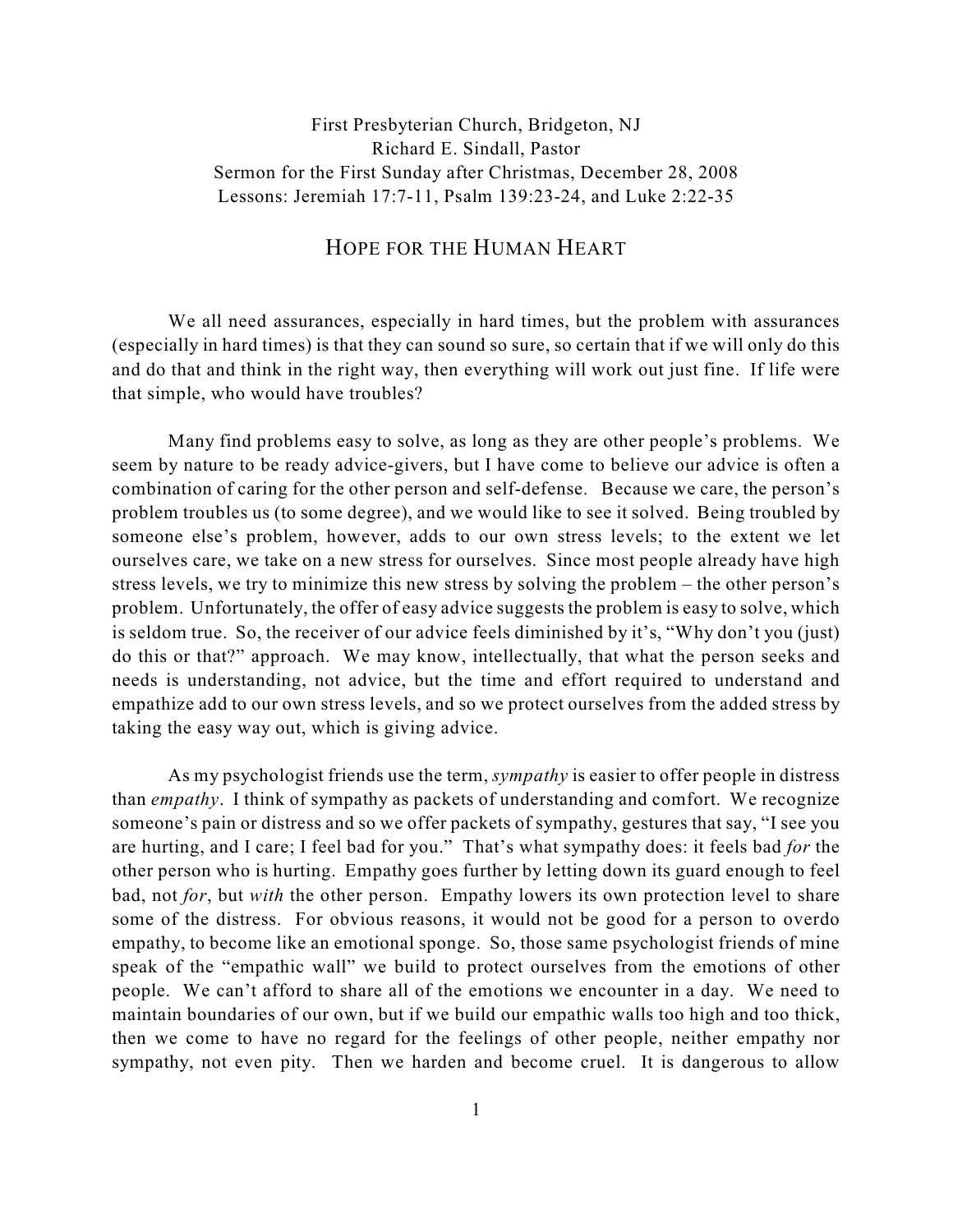## First Presbyterian Church, Bridgeton, NJ Richard E. Sindall, Pastor Sermon for the First Sunday after Christmas, December 28, 2008 Lessons: Jeremiah 17:7-11, Psalm 139:23-24, and Luke 2:22-35

## HOPE FOR THE HUMAN HEART

We all need assurances, especially in hard times, but the problem with assurances (especially in hard times) is that they can sound so sure, so certain that if we will only do this and do that and think in the right way, then everything will work out just fine. If life were that simple, who would have troubles?

Many find problems easy to solve, as long as they are other people's problems. We seem by nature to be ready advice-givers, but I have come to believe our advice is often a combination of caring for the other person and self-defense. Because we care, the person's problem troubles us (to some degree), and we would like to see it solved. Being troubled by someone else's problem, however, adds to our own stress levels; to the extent we let ourselves care, we take on a new stress for ourselves. Since most people already have high stress levels, we try to minimize this new stress by solving the problem – the other person's problem. Unfortunately, the offer of easy advice suggests the problem is easy to solve, which is seldom true. So, the receiver of our advice feels diminished by it's, "Why don't you (just) do this or that?" approach. We may know, intellectually, that what the person seeks and needs is understanding, not advice, but the time and effort required to understand and empathize add to our own stress levels, and so we protect ourselves from the added stress by taking the easy way out, which is giving advice.

As my psychologist friends use the term, *sympathy* is easier to offer people in distress than *empathy*. I think of sympathy as packets of understanding and comfort. We recognize someone's pain or distress and so we offer packets of sympathy, gestures that say, "I see you are hurting, and I care; I feel bad for you." That's what sympathy does: it feels bad *for* the other person who is hurting. Empathy goes further by letting down its guard enough to feel bad, not *for*, but *with* the other person. Empathy lowers its own protection level to share some of the distress. For obvious reasons, it would not be good for a person to overdo empathy, to become like an emotional sponge. So, those same psychologist friends of mine speak of the "empathic wall" we build to protect ourselves from the emotions of other people. We can't afford to share all of the emotions we encounter in a day. We need to maintain boundaries of our own, but if we build our empathic walls too high and too thick, then we come to have no regard for the feelings of other people, neither empathy nor sympathy, not even pity. Then we harden and become cruel. It is dangerous to allow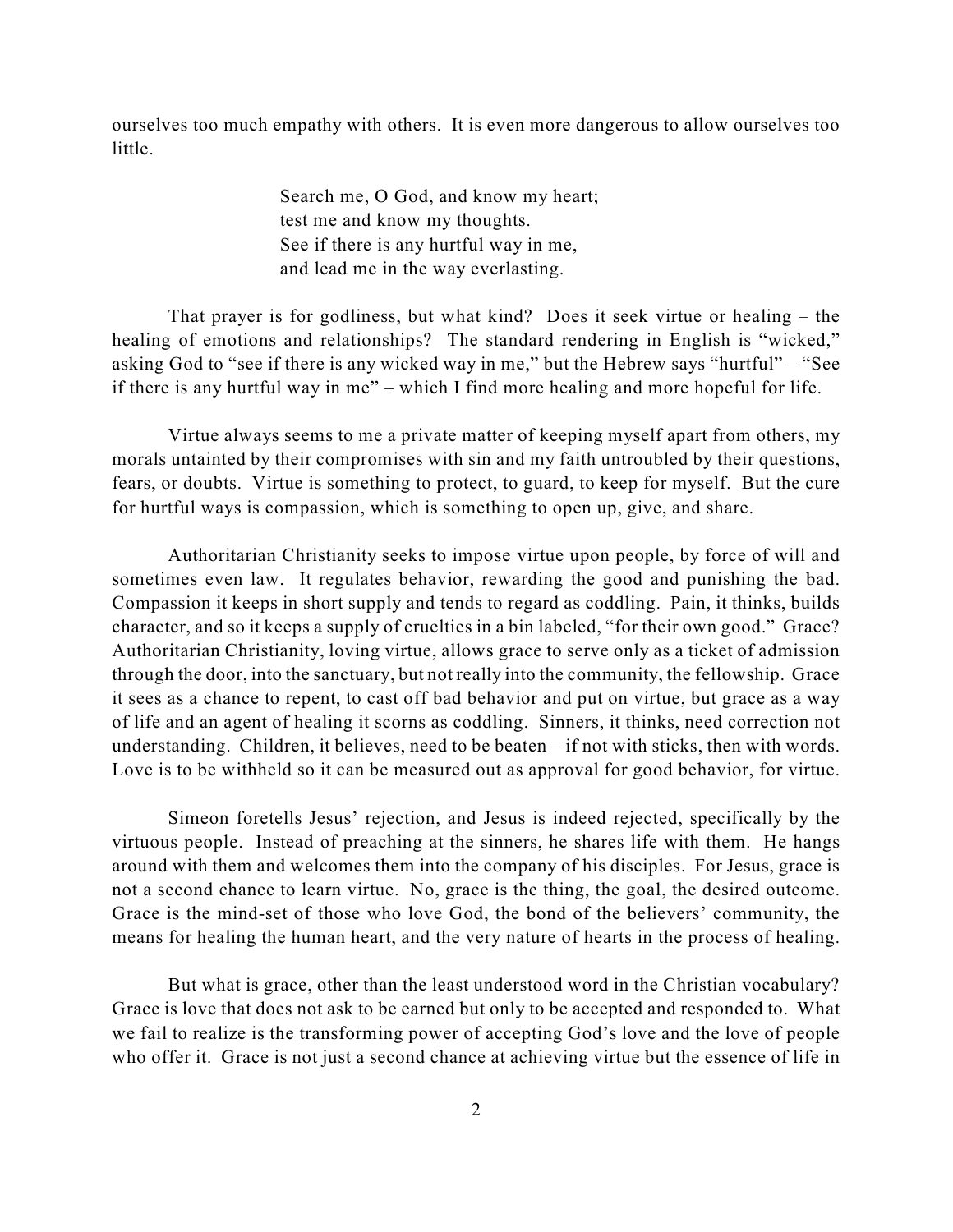ourselves too much empathy with others. It is even more dangerous to allow ourselves too little.

> Search me, O God, and know my heart; test me and know my thoughts. See if there is any hurtful way in me, and lead me in the way everlasting.

That prayer is for godliness, but what kind? Does it seek virtue or healing – the healing of emotions and relationships? The standard rendering in English is "wicked," asking God to "see if there is any wicked way in me," but the Hebrew says "hurtful" – "See if there is any hurtful way in me" – which I find more healing and more hopeful for life.

Virtue always seems to me a private matter of keeping myself apart from others, my morals untainted by their compromises with sin and my faith untroubled by their questions, fears, or doubts. Virtue is something to protect, to guard, to keep for myself. But the cure for hurtful ways is compassion, which is something to open up, give, and share.

Authoritarian Christianity seeks to impose virtue upon people, by force of will and sometimes even law. It regulates behavior, rewarding the good and punishing the bad. Compassion it keeps in short supply and tends to regard as coddling. Pain, it thinks, builds character, and so it keeps a supply of cruelties in a bin labeled, "for their own good." Grace? Authoritarian Christianity, loving virtue, allows grace to serve only as a ticket of admission through the door, into the sanctuary, but not really into the community, the fellowship. Grace it sees as a chance to repent, to cast off bad behavior and put on virtue, but grace as a way of life and an agent of healing it scorns as coddling. Sinners, it thinks, need correction not understanding. Children, it believes, need to be beaten – if not with sticks, then with words. Love is to be withheld so it can be measured out as approval for good behavior, for virtue.

Simeon foretells Jesus' rejection, and Jesus is indeed rejected, specifically by the virtuous people. Instead of preaching at the sinners, he shares life with them. He hangs around with them and welcomes them into the company of his disciples. For Jesus, grace is not a second chance to learn virtue. No, grace is the thing, the goal, the desired outcome. Grace is the mind-set of those who love God, the bond of the believers' community, the means for healing the human heart, and the very nature of hearts in the process of healing.

But what is grace, other than the least understood word in the Christian vocabulary? Grace is love that does not ask to be earned but only to be accepted and responded to. What we fail to realize is the transforming power of accepting God's love and the love of people who offer it. Grace is not just a second chance at achieving virtue but the essence of life in